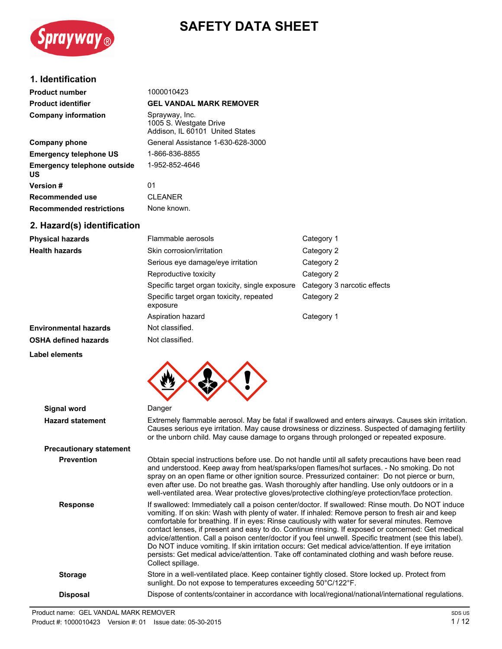

# **SAFETY DATA SHEET**

# **1. Identification**

| <b>Product number</b>                           | 1000010423                                                                  |
|-------------------------------------------------|-----------------------------------------------------------------------------|
| <b>Product identifier</b>                       | <b>GEL VANDAL MARK REMOVER</b>                                              |
| <b>Company information</b>                      | Sprayway, Inc.<br>1005 S. Westgate Drive<br>Addison, IL 60101 United States |
| <b>Company phone</b>                            | General Assistance 1-630-628-3000                                           |
| <b>Emergency telephone US</b>                   | 1-866-836-8855                                                              |
| <b>Emergency telephone outside</b><br><b>US</b> | 1-952-852-4646                                                              |
| <b>Version #</b>                                | 01                                                                          |
| Recommended use                                 | <b>CLEANER</b>                                                              |
| <b>Recommended restrictions</b>                 | None known.                                                                 |
| 2. Hazard(s) identification                     |                                                                             |

| <b>Physical hazards</b>      | Flammable aerosols                                   | Category 1                  |
|------------------------------|------------------------------------------------------|-----------------------------|
| <b>Health hazards</b>        | Skin corrosion/irritation                            | Category 2                  |
|                              | Serious eye damage/eye irritation                    | Category 2                  |
|                              | Reproductive toxicity                                | Category 2                  |
|                              | Specific target organ toxicity, single exposure      | Category 3 narcotic effects |
|                              | Specific target organ toxicity, repeated<br>exposure | Category 2                  |
|                              | Aspiration hazard                                    | Category 1                  |
| <b>Environmental hazards</b> | Not classified.                                      |                             |
| <b>OSHA defined hazards</b>  | Not classified.                                      |                             |





| <b>Signal word</b>             | Danger                                                                                                                                                                                                                                                                                                                                                                                                                                                                                                                                                                                                                                                                                                                                           |
|--------------------------------|--------------------------------------------------------------------------------------------------------------------------------------------------------------------------------------------------------------------------------------------------------------------------------------------------------------------------------------------------------------------------------------------------------------------------------------------------------------------------------------------------------------------------------------------------------------------------------------------------------------------------------------------------------------------------------------------------------------------------------------------------|
| <b>Hazard statement</b>        | Extremely flammable aerosol. May be fatal if swallowed and enters airways. Causes skin irritation.<br>Causes serious eye irritation. May cause drowsiness or dizziness. Suspected of damaging fertility<br>or the unborn child. May cause damage to organs through prolonged or repeated exposure.                                                                                                                                                                                                                                                                                                                                                                                                                                               |
| <b>Precautionary statement</b> |                                                                                                                                                                                                                                                                                                                                                                                                                                                                                                                                                                                                                                                                                                                                                  |
| <b>Prevention</b>              | Obtain special instructions before use. Do not handle until all safety precautions have been read<br>and understood. Keep away from heat/sparks/open flames/hot surfaces. - No smoking. Do not<br>spray on an open flame or other ignition source. Pressurized container: Do not pierce or burn,<br>even after use. Do not breathe gas. Wash thoroughly after handling. Use only outdoors or in a<br>well-ventilated area. Wear protective gloves/protective clothing/eye protection/face protection.                                                                                                                                                                                                                                            |
| <b>Response</b>                | If swallowed: Immediately call a poison center/doctor. If swallowed: Rinse mouth. Do NOT induce<br>vomiting. If on skin: Wash with plenty of water. If inhaled: Remove person to fresh air and keep<br>comfortable for breathing. If in eyes: Rinse cautiously with water for several minutes. Remove<br>contact lenses, if present and easy to do. Continue rinsing. If exposed or concerned: Get medical<br>advice/attention. Call a poison center/doctor if you feel unwell. Specific treatment (see this label).<br>Do NOT induce vomiting. If skin irritation occurs: Get medical advice/attention. If eye irritation<br>persists: Get medical advice/attention. Take off contaminated clothing and wash before reuse.<br>Collect spillage. |
| <b>Storage</b>                 | Store in a well-ventilated place. Keep container tightly closed. Store locked up. Protect from<br>sunlight. Do not expose to temperatures exceeding 50°C/122°F.                                                                                                                                                                                                                                                                                                                                                                                                                                                                                                                                                                                  |
| <b>Disposal</b>                | Dispose of contents/container in accordance with local/regional/national/international regulations.                                                                                                                                                                                                                                                                                                                                                                                                                                                                                                                                                                                                                                              |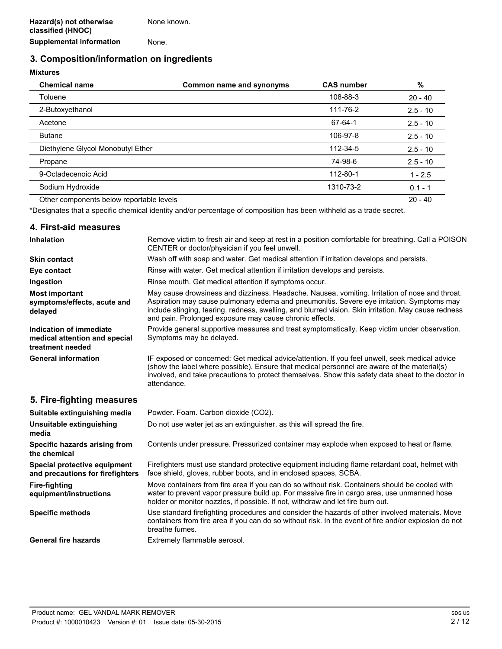# **3. Composition/information on ingredients**

# **Mixtures**

| <b>Chemical name</b>                     | Common name and synonyms | <b>CAS number</b> | $\%$       |
|------------------------------------------|--------------------------|-------------------|------------|
| Toluene                                  |                          | 108-88-3          | $20 - 40$  |
| 2-Butoxyethanol                          |                          | 111-76-2          | $2.5 - 10$ |
| Acetone                                  |                          | 67-64-1           | $2.5 - 10$ |
| <b>Butane</b>                            |                          | 106-97-8          | $2.5 - 10$ |
| Diethylene Glycol Monobutyl Ether        |                          | 112-34-5          | $2.5 - 10$ |
| Propane                                  |                          | 74-98-6           | $2.5 - 10$ |
| 9-Octadecenoic Acid                      |                          | 112-80-1          | $1 - 2.5$  |
| Sodium Hydroxide                         |                          | 1310-73-2         | $0.1 - 1$  |
| Other components below reportable levels |                          |                   | $20 - 40$  |

\*Designates that a specific chemical identity and/or percentage of composition has been withheld as a trade secret.

### **4. First-aid measures**

| <b>Inhalation</b>                                                            | Remove victim to fresh air and keep at rest in a position comfortable for breathing. Call a POISON<br>CENTER or doctor/physician if you feel unwell.                                                                                                                                                                                                           |
|------------------------------------------------------------------------------|----------------------------------------------------------------------------------------------------------------------------------------------------------------------------------------------------------------------------------------------------------------------------------------------------------------------------------------------------------------|
| <b>Skin contact</b>                                                          | Wash off with soap and water. Get medical attention if irritation develops and persists.                                                                                                                                                                                                                                                                       |
| Eye contact                                                                  | Rinse with water. Get medical attention if irritation develops and persists.                                                                                                                                                                                                                                                                                   |
| Ingestion                                                                    | Rinse mouth. Get medical attention if symptoms occur.                                                                                                                                                                                                                                                                                                          |
| <b>Most important</b><br>symptoms/effects, acute and<br>delayed              | May cause drowsiness and dizziness. Headache. Nausea, vomiting. Irritation of nose and throat.<br>Aspiration may cause pulmonary edema and pneumonitis. Severe eye irritation. Symptoms may<br>include stinging, tearing, redness, swelling, and blurred vision. Skin irritation. May cause redness<br>and pain. Prolonged exposure may cause chronic effects. |
| Indication of immediate<br>medical attention and special<br>treatment needed | Provide general supportive measures and treat symptomatically. Keep victim under observation.<br>Symptoms may be delayed.                                                                                                                                                                                                                                      |
| <b>General information</b>                                                   | IF exposed or concerned: Get medical advice/attention. If you feel unwell, seek medical advice<br>(show the label where possible). Ensure that medical personnel are aware of the material(s)<br>involved, and take precautions to protect themselves. Show this safety data sheet to the doctor in<br>attendance.                                             |

# **5. Fire-fighting measures**

| Suitable extinguishing media                                     | Powder. Foam. Carbon dioxide (CO2).                                                                                                                                                                                                                                              |
|------------------------------------------------------------------|----------------------------------------------------------------------------------------------------------------------------------------------------------------------------------------------------------------------------------------------------------------------------------|
| Unsuitable extinguishing<br>media                                | Do not use water jet as an extinguisher, as this will spread the fire.                                                                                                                                                                                                           |
| Specific hazards arising from<br>the chemical                    | Contents under pressure. Pressurized container may explode when exposed to heat or flame.                                                                                                                                                                                        |
| Special protective equipment<br>and precautions for firefighters | Firefighters must use standard protective equipment including flame retardant coat, helmet with<br>face shield, gloves, rubber boots, and in enclosed spaces, SCBA.                                                                                                              |
| <b>Fire-fighting</b><br>equipment/instructions                   | Move containers from fire area if you can do so without risk. Containers should be cooled with<br>water to prevent vapor pressure build up. For massive fire in cargo area, use unmanned hose<br>holder or monitor nozzles, if possible. If not, withdraw and let fire burn out. |
| <b>Specific methods</b>                                          | Use standard firefighting procedures and consider the hazards of other involved materials. Move<br>containers from fire area if you can do so without risk. In the event of fire and/or explosion do not<br>breathe fumes.                                                       |
| <b>General fire hazards</b>                                      | Extremely flammable aerosol.                                                                                                                                                                                                                                                     |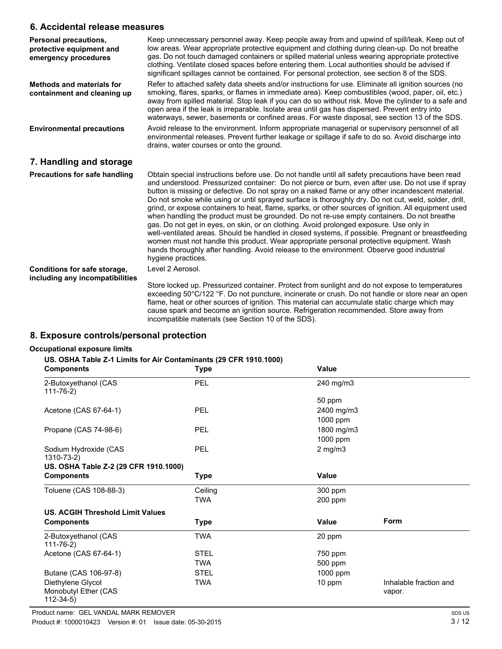## **6. Accidental release measures**

| Personal precautions,<br>protective equipment and<br>emergency procedures | Keep unnecessary personnel away. Keep people away from and upwind of spill/leak. Keep out of<br>low areas. Wear appropriate protective equipment and clothing during clean-up. Do not breathe<br>gas. Do not touch damaged containers or spilled material unless wearing appropriate protective<br>clothing. Ventilate closed spaces before entering them. Local authorities should be advised if<br>significant spillages cannot be contained. For personal protection, see section 8 of the SDS.                                                                                                                                                                                                                                                                                                                                                                                                                                                                                                                                          |
|---------------------------------------------------------------------------|---------------------------------------------------------------------------------------------------------------------------------------------------------------------------------------------------------------------------------------------------------------------------------------------------------------------------------------------------------------------------------------------------------------------------------------------------------------------------------------------------------------------------------------------------------------------------------------------------------------------------------------------------------------------------------------------------------------------------------------------------------------------------------------------------------------------------------------------------------------------------------------------------------------------------------------------------------------------------------------------------------------------------------------------|
| <b>Methods and materials for</b><br>containment and cleaning up           | Refer to attached safety data sheets and/or instructions for use. Eliminate all ignition sources (no<br>smoking, flares, sparks, or flames in immediate area). Keep combustibles (wood, paper, oil, etc.)<br>away from spilled material. Stop leak if you can do so without risk. Move the cylinder to a safe and<br>open area if the leak is irreparable. Isolate area until gas has dispersed. Prevent entry into<br>waterways, sewer, basements or confined areas. For waste disposal, see section 13 of the SDS.                                                                                                                                                                                                                                                                                                                                                                                                                                                                                                                        |
| <b>Environmental precautions</b>                                          | Avoid release to the environment. Inform appropriate managerial or supervisory personnel of all<br>environmental releases. Prevent further leakage or spillage if safe to do so. Avoid discharge into<br>drains, water courses or onto the ground.                                                                                                                                                                                                                                                                                                                                                                                                                                                                                                                                                                                                                                                                                                                                                                                          |
| 7. Handling and storage                                                   |                                                                                                                                                                                                                                                                                                                                                                                                                                                                                                                                                                                                                                                                                                                                                                                                                                                                                                                                                                                                                                             |
| <b>Precautions for safe handling</b>                                      | Obtain special instructions before use. Do not handle until all safety precautions have been read<br>and understood. Pressurized container: Do not pierce or burn, even after use. Do not use if spray<br>button is missing or defective. Do not spray on a naked flame or any other incandescent material.<br>Do not smoke while using or until sprayed surface is thoroughly dry. Do not cut, weld, solder, drill,<br>grind, or expose containers to heat, flame, sparks, or other sources of ignition. All equipment used<br>when handling the product must be grounded. Do not re-use empty containers. Do not breathe<br>gas. Do not get in eyes, on skin, or on clothing. Avoid prolonged exposure. Use only in<br>well-ventilated areas. Should be handled in closed systems, if possible. Pregnant or breastfeeding<br>women must not handle this product. Wear appropriate personal protective equipment. Wash<br>hands thoroughly after handling. Avoid release to the environment. Observe good industrial<br>hygiene practices. |
| Conditions for safe storage,                                              | Level 2 Aerosol.                                                                                                                                                                                                                                                                                                                                                                                                                                                                                                                                                                                                                                                                                                                                                                                                                                                                                                                                                                                                                            |
| including any incompatibilities                                           | Store locked up. Pressurized container. Protect from sunlight and do not expose to temperatures<br>exceeding 50°C/122 °F. Do not puncture, incinerate or crush. Do not handle or store near an open<br>flame, heat or other sources of ignition. This material can accumulate static charge which may<br>cause spark and become an ignition source. Refrigeration recommended. Store away from                                                                                                                                                                                                                                                                                                                                                                                                                                                                                                                                                                                                                                              |

incompatible materials (see Section 10 of the SDS).

# **8. Exposure controls/personal protection**

### **Occupational exposure limits**

### **US. OSHA Table Z-1 Limits for Air Contaminants (29 CFR 1910.1000)**

| <b>Components</b>                                           | <b>Type</b> | Value        |                                  |
|-------------------------------------------------------------|-------------|--------------|----------------------------------|
| 2-Butoxyethanol (CAS<br>$111 - 76 - 2)$                     | PEL         | 240 mg/m3    |                                  |
|                                                             |             | 50 ppm       |                                  |
| Acetone (CAS 67-64-1)                                       | PEL         | 2400 mg/m3   |                                  |
|                                                             |             | 1000 ppm     |                                  |
| Propane (CAS 74-98-6)                                       | PEL         | 1800 mg/m3   |                                  |
|                                                             |             | 1000 ppm     |                                  |
| Sodium Hydroxide (CAS<br>1310-73-2)                         | PEL         | $2$ mg/m $3$ |                                  |
| US. OSHA Table Z-2 (29 CFR 1910.1000)                       |             |              |                                  |
| <b>Components</b>                                           | Type        | Value        |                                  |
| Toluene (CAS 108-88-3)                                      | Ceiling     | 300 ppm      |                                  |
|                                                             | <b>TWA</b>  | 200 ppm      |                                  |
| <b>US. ACGIH Threshold Limit Values</b>                     |             |              |                                  |
| <b>Components</b>                                           | <b>Type</b> | Value        | Form                             |
| 2-Butoxyethanol (CAS<br>$111 - 76 - 2)$                     | TWA         | 20 ppm       |                                  |
| Acetone (CAS 67-64-1)                                       | <b>STEL</b> | 750 ppm      |                                  |
|                                                             | TWA         | 500 ppm      |                                  |
| Butane (CAS 106-97-8)                                       | <b>STEL</b> | 1000 ppm     |                                  |
| Diethylene Glycol<br>Monobutyl Ether (CAS<br>$112 - 34 - 5$ | <b>TWA</b>  | 10 ppm       | Inhalable fraction and<br>vapor. |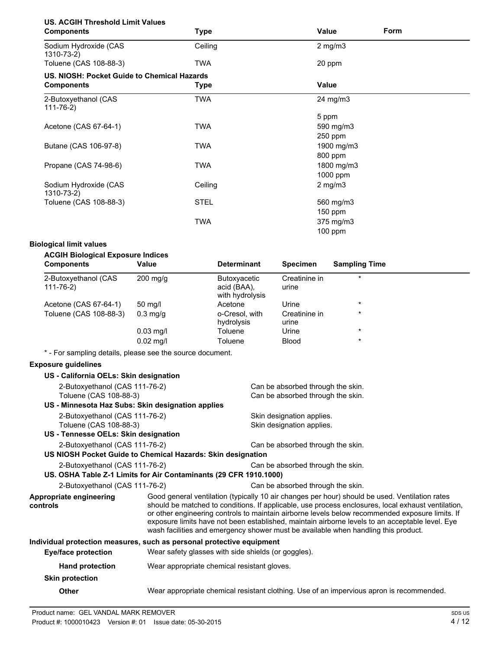| <b>US. ACGIH Threshold Limit Values</b><br><b>Components</b> | <b>Type</b> | Value        | <b>Form</b> |
|--------------------------------------------------------------|-------------|--------------|-------------|
|                                                              |             |              |             |
| Sodium Hydroxide (CAS<br>1310-73-2)                          | Ceiling     | $2$ mg/m $3$ |             |
| Toluene (CAS 108-88-3)                                       | TWA         | 20 ppm       |             |
| US. NIOSH: Pocket Guide to Chemical Hazards                  |             |              |             |
| <b>Components</b>                                            | <b>Type</b> | Value        |             |
| 2-Butoxyethanol (CAS<br>$111 - 76 - 2)$                      | <b>TWA</b>  | 24 mg/m3     |             |
|                                                              |             | 5 ppm        |             |
| Acetone (CAS 67-64-1)                                        | TWA         | 590 mg/m3    |             |
|                                                              |             | 250 ppm      |             |
| Butane (CAS 106-97-8)                                        | <b>TWA</b>  | 1900 mg/m3   |             |
|                                                              |             | 800 ppm      |             |
| Propane (CAS 74-98-6)                                        | <b>TWA</b>  | 1800 mg/m3   |             |
|                                                              |             | 1000 ppm     |             |
| Sodium Hydroxide (CAS<br>1310-73-2)                          | Ceiling     | $2$ mg/m $3$ |             |
| Toluene (CAS 108-88-3)                                       | <b>STEL</b> | 560 mg/m3    |             |
|                                                              |             | $150$ ppm    |             |
|                                                              | <b>TWA</b>  | 375 mg/m3    |             |
|                                                              |             | 100 ppm      |             |
|                                                              |             |              |             |

### **Biological limit values**

| <b>ACGIH Biological Exposure Indices</b><br><b>Components</b> | Value              | <b>Determinant</b>                                    | <b>Specimen</b>        | <b>Sampling Time</b> |
|---------------------------------------------------------------|--------------------|-------------------------------------------------------|------------------------|----------------------|
| 2-Butoxyethanol (CAS<br>111-76-2)                             | $200 \text{ mg/q}$ | <b>Butoxyacetic</b><br>acid (BAA),<br>with hydrolysis | Creatinine in<br>urine | $\ast$               |
| Acetone (CAS 67-64-1)                                         | 50 mg/l            | Acetone                                               | Urine                  | $\ast$               |
| Toluene (CAS 108-88-3)                                        | $0.3$ mg/g         | o-Cresol, with<br>hydrolysis                          | Creatinine in<br>urine | $\star$              |
|                                                               | $0.03$ mg/l        | Toluene                                               | Urine                  | $\star$              |
|                                                               | $0.02$ mg/l        | Toluene                                               | <b>Blood</b>           | $\star$              |
|                                                               |                    |                                                       |                        |                      |

\* - For sampling details, please see the source document.

### **Exposure guidelines**

| US - California OELs: Skin designation                                |                                                                                                                                                                                                                                                                                                                                                                                                                                                                                                  |                                                     |
|-----------------------------------------------------------------------|--------------------------------------------------------------------------------------------------------------------------------------------------------------------------------------------------------------------------------------------------------------------------------------------------------------------------------------------------------------------------------------------------------------------------------------------------------------------------------------------------|-----------------------------------------------------|
| 2-Butoxyethanol (CAS 111-76-2)                                        |                                                                                                                                                                                                                                                                                                                                                                                                                                                                                                  | Can be absorbed through the skin.                   |
| Toluene (CAS 108-88-3)                                                |                                                                                                                                                                                                                                                                                                                                                                                                                                                                                                  | Can be absorbed through the skin.                   |
| US - Minnesota Haz Subs: Skin designation applies                     |                                                                                                                                                                                                                                                                                                                                                                                                                                                                                                  |                                                     |
| 2-Butoxyethanol (CAS 111-76-2)                                        |                                                                                                                                                                                                                                                                                                                                                                                                                                                                                                  | Skin designation applies.                           |
| Toluene (CAS 108-88-3)                                                |                                                                                                                                                                                                                                                                                                                                                                                                                                                                                                  | Skin designation applies.                           |
| US - Tennesse OELs: Skin designation                                  |                                                                                                                                                                                                                                                                                                                                                                                                                                                                                                  |                                                     |
| 2-Butoxyethanol (CAS 111-76-2)                                        |                                                                                                                                                                                                                                                                                                                                                                                                                                                                                                  | Can be absorbed through the skin.                   |
| US NIOSH Pocket Guide to Chemical Hazards: Skin designation           |                                                                                                                                                                                                                                                                                                                                                                                                                                                                                                  |                                                     |
| 2-Butoxyethanol (CAS 111-76-2)                                        |                                                                                                                                                                                                                                                                                                                                                                                                                                                                                                  | Can be absorbed through the skin.                   |
| US. OSHA Table Z-1 Limits for Air Contaminants (29 CFR 1910.1000)     |                                                                                                                                                                                                                                                                                                                                                                                                                                                                                                  |                                                     |
| 2-Butoxyethanol (CAS 111-76-2)                                        |                                                                                                                                                                                                                                                                                                                                                                                                                                                                                                  | Can be absorbed through the skin.                   |
| Appropriate engineering<br>controls                                   | Good general ventilation (typically 10 air changes per hour) should be used. Ventilation rates<br>should be matched to conditions. If applicable, use process enclosures, local exhaust ventilation,<br>or other engineering controls to maintain airborne levels below recommended exposure limits. If<br>exposure limits have not been established, maintain airborne levels to an acceptable level. Eye<br>wash facilities and emergency shower must be available when handling this product. |                                                     |
| Individual protection measures, such as personal protective equipment |                                                                                                                                                                                                                                                                                                                                                                                                                                                                                                  |                                                     |
| Eye/face protection                                                   |                                                                                                                                                                                                                                                                                                                                                                                                                                                                                                  | Wear safety glasses with side shields (or goggles). |
| <b>Hand protection</b>                                                | Wear appropriate chemical resistant gloves.                                                                                                                                                                                                                                                                                                                                                                                                                                                      |                                                     |
| <b>Skin protection</b>                                                |                                                                                                                                                                                                                                                                                                                                                                                                                                                                                                  |                                                     |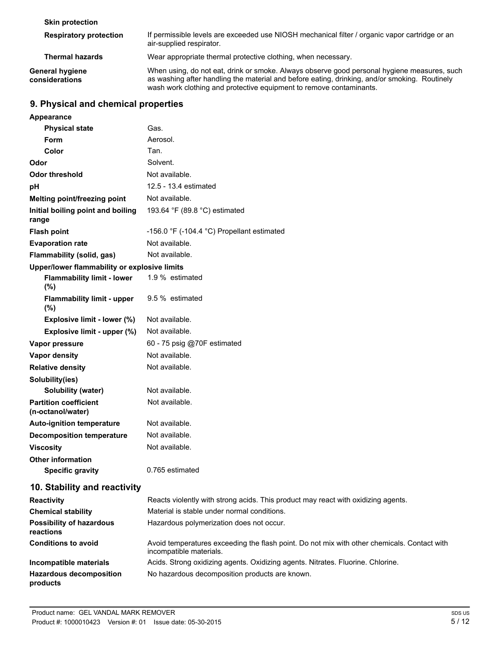| <b>Skin protection</b>                   |                                                                                                                                                                                                                                                                     |
|------------------------------------------|---------------------------------------------------------------------------------------------------------------------------------------------------------------------------------------------------------------------------------------------------------------------|
| <b>Respiratory protection</b>            | If permissible levels are exceeded use NIOSH mechanical filter / organic vapor cartridge or an<br>air-supplied respirator.                                                                                                                                          |
| <b>Thermal hazards</b>                   | Wear appropriate thermal protective clothing, when necessary.                                                                                                                                                                                                       |
| <b>General hygiene</b><br>considerations | When using, do not eat, drink or smoke. Always observe good personal hygiene measures, such<br>as washing after handling the material and before eating, drinking, and/or smoking. Routinely<br>wash work clothing and protective equipment to remove contaminants. |

# **9. Physical and chemical properties**

**Appearance**

| <b>Physical state</b>                             | Gas.                                                                                                                   |
|---------------------------------------------------|------------------------------------------------------------------------------------------------------------------------|
| Form                                              | Aerosol.                                                                                                               |
| Color                                             | Tan.                                                                                                                   |
| Odor                                              | Solvent.                                                                                                               |
| <b>Odor threshold</b>                             | Not available.                                                                                                         |
| рH                                                | 12.5 - 13.4 estimated                                                                                                  |
| Melting point/freezing point                      | Not available.                                                                                                         |
| Initial boiling point and boiling<br>range        | 193.64 °F (89.8 °C) estimated                                                                                          |
| <b>Flash point</b>                                | -156.0 °F (-104.4 °C) Propellant estimated                                                                             |
| <b>Evaporation rate</b>                           | Not available.                                                                                                         |
| Flammability (solid, gas)                         | Not available.                                                                                                         |
| Upper/lower flammability or explosive limits      |                                                                                                                        |
| <b>Flammability limit - lower</b><br>$(\%)$       | 1.9 % estimated                                                                                                        |
| <b>Flammability limit - upper</b><br>(%)          | 9.5 % estimated                                                                                                        |
| Explosive limit - lower (%)                       | Not available.                                                                                                         |
| Explosive limit - upper (%)                       | Not available.                                                                                                         |
| Vapor pressure                                    | 60 - 75 psig @70F estimated                                                                                            |
| <b>Vapor density</b>                              | Not available.                                                                                                         |
| <b>Relative density</b>                           | Not available.                                                                                                         |
| Solubility(ies)                                   |                                                                                                                        |
| Solubility (water)                                | Not available.                                                                                                         |
| <b>Partition coefficient</b><br>(n-octanol/water) | Not available.                                                                                                         |
| <b>Auto-ignition temperature</b>                  | Not available.                                                                                                         |
| <b>Decomposition temperature</b>                  | Not available.                                                                                                         |
| <b>Viscosity</b>                                  | Not available.                                                                                                         |
| <b>Other information</b>                          |                                                                                                                        |
| <b>Specific gravity</b>                           | 0.765 estimated                                                                                                        |
| 10. Stability and reactivity                      |                                                                                                                        |
| <b>Reactivity</b>                                 | Reacts violently with strong acids. This product may react with oxidizing agents.                                      |
| <b>Chemical stability</b>                         | Material is stable under normal conditions.                                                                            |
| <b>Possibility of hazardous</b><br>reactions      | Hazardous polymerization does not occur.                                                                               |
| <b>Conditions to avoid</b>                        | Avoid temperatures exceeding the flash point. Do not mix with other chemicals. Contact with<br>incompatible materials. |
| Incompatible materials                            | Acids. Strong oxidizing agents. Oxidizing agents. Nitrates. Fluorine. Chlorine.                                        |
| <b>Hazardous decomposition</b><br>products        | No hazardous decomposition products are known.                                                                         |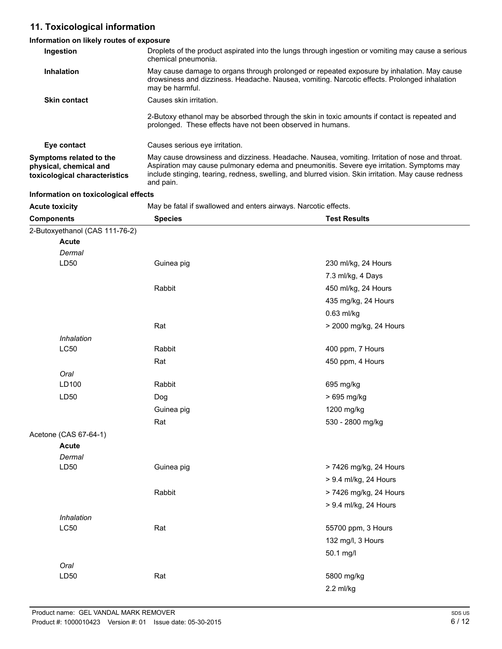# **11. Toxicological information**

# **Information on likely routes of exposure**

| Ingestion                                                                          | Droplets of the product aspirated into the lungs through ingestion or vomiting may cause a serious<br>chemical pneumonia.                                                                                                                                                                                        |
|------------------------------------------------------------------------------------|------------------------------------------------------------------------------------------------------------------------------------------------------------------------------------------------------------------------------------------------------------------------------------------------------------------|
| Inhalation                                                                         | May cause damage to organs through prolonged or repeated exposure by inhalation. May cause<br>drowsiness and dizziness. Headache. Nausea, vomiting. Narcotic effects. Prolonged inhalation<br>may be harmful.                                                                                                    |
| <b>Skin contact</b>                                                                | Causes skin irritation.                                                                                                                                                                                                                                                                                          |
|                                                                                    | 2-Butoxy ethanol may be absorbed through the skin in toxic amounts if contact is repeated and<br>prolonged. These effects have not been observed in humans.                                                                                                                                                      |
| Eye contact                                                                        | Causes serious eve irritation.                                                                                                                                                                                                                                                                                   |
| Symptoms related to the<br>physical, chemical and<br>toxicological characteristics | May cause drowsiness and dizziness. Headache. Nausea, vomiting. Irritation of nose and throat.<br>Aspiration may cause pulmonary edema and pneumonitis. Severe eye irritation. Symptoms may<br>include stinging, tearing, redness, swelling, and blurred vision. Skin irritation. May cause redness<br>and pain. |

| Information on toxicological effects |                                                                 |                        |
|--------------------------------------|-----------------------------------------------------------------|------------------------|
| <b>Acute toxicity</b>                | May be fatal if swallowed and enters airways. Narcotic effects. |                        |
| <b>Components</b>                    | <b>Species</b>                                                  | <b>Test Results</b>    |
| 2-Butoxyethanol (CAS 111-76-2)       |                                                                 |                        |
| <b>Acute</b>                         |                                                                 |                        |
| Dermal                               |                                                                 |                        |
| LD50                                 | Guinea pig                                                      | 230 ml/kg, 24 Hours    |
|                                      |                                                                 | 7.3 ml/kg, 4 Days      |
|                                      | Rabbit                                                          | 450 ml/kg, 24 Hours    |
|                                      |                                                                 | 435 mg/kg, 24 Hours    |
|                                      |                                                                 | 0.63 ml/kg             |
|                                      | Rat                                                             | > 2000 mg/kg, 24 Hours |
| Inhalation                           |                                                                 |                        |
| <b>LC50</b>                          | Rabbit                                                          | 400 ppm, 7 Hours       |
|                                      | Rat                                                             | 450 ppm, 4 Hours       |
| Oral                                 |                                                                 |                        |
| LD100                                | Rabbit                                                          | 695 mg/kg              |
| LD50                                 | Dog                                                             | > 695 mg/kg            |
|                                      | Guinea pig                                                      | 1200 mg/kg             |
|                                      | Rat                                                             | 530 - 2800 mg/kg       |
| Acetone (CAS 67-64-1)                |                                                                 |                        |
| <b>Acute</b>                         |                                                                 |                        |
| Dermal                               |                                                                 |                        |
| LD50                                 | Guinea pig                                                      | > 7426 mg/kg, 24 Hours |
|                                      |                                                                 | > 9.4 ml/kg, 24 Hours  |
|                                      | Rabbit                                                          | > 7426 mg/kg, 24 Hours |
|                                      |                                                                 | > 9.4 ml/kg, 24 Hours  |
| Inhalation                           |                                                                 |                        |
| LC50                                 | Rat                                                             | 55700 ppm, 3 Hours     |
|                                      |                                                                 | 132 mg/l, 3 Hours      |
|                                      |                                                                 | 50.1 mg/l              |
| Oral                                 |                                                                 |                        |
| LD50                                 | Rat                                                             | 5800 mg/kg             |
|                                      |                                                                 | 2.2 ml/kg              |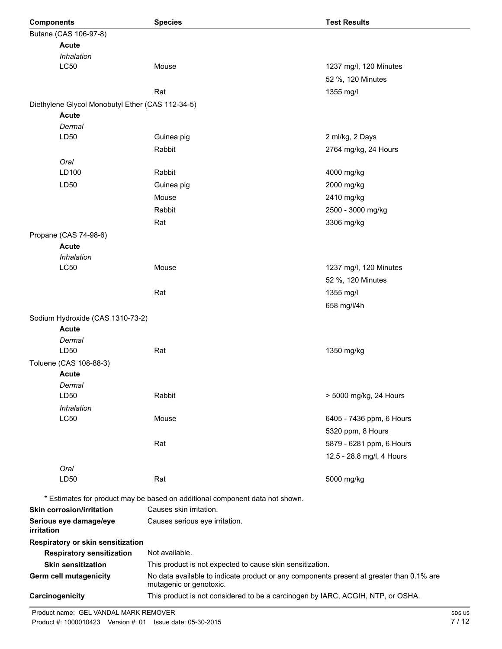| <b>Components</b>                                | <b>Species</b>                                                                                          | <b>Test Results</b>                                                                      |
|--------------------------------------------------|---------------------------------------------------------------------------------------------------------|------------------------------------------------------------------------------------------|
| Butane (CAS 106-97-8)                            |                                                                                                         |                                                                                          |
| <b>Acute</b>                                     |                                                                                                         |                                                                                          |
| Inhalation                                       |                                                                                                         |                                                                                          |
| <b>LC50</b>                                      | Mouse                                                                                                   | 1237 mg/l, 120 Minutes                                                                   |
|                                                  |                                                                                                         | 52 %, 120 Minutes                                                                        |
|                                                  | Rat                                                                                                     | 1355 mg/l                                                                                |
| Diethylene Glycol Monobutyl Ether (CAS 112-34-5) |                                                                                                         |                                                                                          |
| <b>Acute</b>                                     |                                                                                                         |                                                                                          |
| Dermal                                           |                                                                                                         |                                                                                          |
| LD50                                             | Guinea pig                                                                                              | 2 ml/kg, 2 Days                                                                          |
|                                                  | Rabbit                                                                                                  | 2764 mg/kg, 24 Hours                                                                     |
| Oral                                             |                                                                                                         |                                                                                          |
| LD100                                            | Rabbit                                                                                                  | 4000 mg/kg                                                                               |
| LD <sub>50</sub>                                 | Guinea pig                                                                                              | 2000 mg/kg                                                                               |
|                                                  | Mouse                                                                                                   | 2410 mg/kg                                                                               |
|                                                  | Rabbit                                                                                                  | 2500 - 3000 mg/kg                                                                        |
|                                                  |                                                                                                         |                                                                                          |
|                                                  | Rat                                                                                                     | 3306 mg/kg                                                                               |
| Propane (CAS 74-98-6)                            |                                                                                                         |                                                                                          |
| Acute                                            |                                                                                                         |                                                                                          |
| Inhalation<br><b>LC50</b>                        | Mouse                                                                                                   |                                                                                          |
|                                                  |                                                                                                         | 1237 mg/l, 120 Minutes                                                                   |
|                                                  |                                                                                                         | 52 %, 120 Minutes                                                                        |
|                                                  | Rat                                                                                                     | 1355 mg/l                                                                                |
|                                                  |                                                                                                         | 658 mg/l/4h                                                                              |
| Sodium Hydroxide (CAS 1310-73-2)                 |                                                                                                         |                                                                                          |
| Acute                                            |                                                                                                         |                                                                                          |
| Dermal                                           |                                                                                                         |                                                                                          |
| LD50                                             | Rat                                                                                                     | 1350 mg/kg                                                                               |
| Toluene (CAS 108-88-3)                           |                                                                                                         |                                                                                          |
| <b>Acute</b>                                     |                                                                                                         |                                                                                          |
| Dermal                                           |                                                                                                         |                                                                                          |
| LD50                                             | Rabbit                                                                                                  | > 5000 mg/kg, 24 Hours                                                                   |
| Inhalation                                       |                                                                                                         |                                                                                          |
| <b>LC50</b>                                      | Mouse                                                                                                   | 6405 - 7436 ppm, 6 Hours                                                                 |
|                                                  |                                                                                                         | 5320 ppm, 8 Hours                                                                        |
|                                                  | Rat                                                                                                     | 5879 - 6281 ppm, 6 Hours                                                                 |
|                                                  |                                                                                                         | 12.5 - 28.8 mg/l, 4 Hours                                                                |
| Oral                                             |                                                                                                         |                                                                                          |
| LD50                                             | Rat                                                                                                     | 5000 mg/kg                                                                               |
|                                                  |                                                                                                         |                                                                                          |
|                                                  | * Estimates for product may be based on additional component data not shown.<br>Causes skin irritation. |                                                                                          |
| <b>Skin corrosion/irritation</b>                 |                                                                                                         |                                                                                          |
| Serious eye damage/eye<br>irritation             | Causes serious eye irritation.                                                                          |                                                                                          |
| Respiratory or skin sensitization                |                                                                                                         |                                                                                          |
| <b>Respiratory sensitization</b>                 | Not available.                                                                                          |                                                                                          |
| <b>Skin sensitization</b>                        | This product is not expected to cause skin sensitization.                                               |                                                                                          |
| Germ cell mutagenicity                           |                                                                                                         | No data available to indicate product or any components present at greater than 0.1% are |
|                                                  | mutagenic or genotoxic.                                                                                 |                                                                                          |
| Carcinogenicity                                  | This product is not considered to be a carcinogen by IARC, ACGIH, NTP, or OSHA.                         |                                                                                          |
| Product name: GEL VANDAL MARK REMOVER            |                                                                                                         |                                                                                          |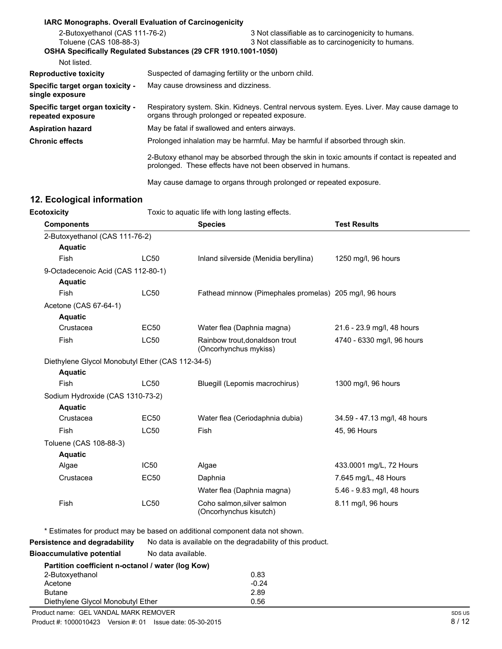|                                                                                                                                   | <b>IARC Monographs. Overall Evaluation of Carcinogenicity</b>                                                                                 |                                                                                                            |
|-----------------------------------------------------------------------------------------------------------------------------------|-----------------------------------------------------------------------------------------------------------------------------------------------|------------------------------------------------------------------------------------------------------------|
| 2-Butoxyethanol (CAS 111-76-2)<br>Toluene (CAS 108-88-3)<br><b>OSHA Specifically Requiated Substances (29 CFR 1910.1001-1050)</b> |                                                                                                                                               | 3 Not classifiable as to carcinogenicity to humans.<br>3 Not classifiable as to carcinogenicity to humans. |
| Not listed.                                                                                                                       |                                                                                                                                               |                                                                                                            |
| <b>Reproductive toxicity</b>                                                                                                      | Suspected of damaging fertility or the unborn child.                                                                                          |                                                                                                            |
| Specific target organ toxicity -<br>single exposure                                                                               | May cause drowsiness and dizziness.                                                                                                           |                                                                                                            |
| Specific target organ toxicity -<br>repeated exposure                                                                             | Respiratory system. Skin. Kidneys. Central nervous system. Eyes. Liver. May cause damage to<br>organs through prolonged or repeated exposure. |                                                                                                            |
| <b>Aspiration hazard</b>                                                                                                          | May be fatal if swallowed and enters airways.                                                                                                 |                                                                                                            |
| <b>Chronic effects</b>                                                                                                            |                                                                                                                                               | Prolonged inhalation may be harmful. May be harmful if absorbed through skin.                              |
|                                                                                                                                   | prolonged. These effects have not been observed in humans.                                                                                    | 2-Butoxy ethanol may be absorbed through the skin in toxic amounts if contact is repeated and              |
|                                                                                                                                   |                                                                                                                                               | May cause damage to organs through prolonged or repeated exposure.                                         |

# **12. Ecological information**

| <b>Ecotoxicity</b>                               |                  | Toxic to aquatic life with long lasting effects.        |                              |
|--------------------------------------------------|------------------|---------------------------------------------------------|------------------------------|
| <b>Components</b>                                |                  | <b>Species</b>                                          | <b>Test Results</b>          |
| 2-Butoxyethanol (CAS 111-76-2)                   |                  |                                                         |                              |
| <b>Aquatic</b>                                   |                  |                                                         |                              |
| Fish                                             | <b>LC50</b>      | Inland silverside (Menidia beryllina)                   | 1250 mg/l, 96 hours          |
| 9-Octadecenoic Acid (CAS 112-80-1)               |                  |                                                         |                              |
| <b>Aquatic</b>                                   |                  |                                                         |                              |
| Fish                                             | <b>LC50</b>      | Fathead minnow (Pimephales promelas) 205 mg/l, 96 hours |                              |
| Acetone (CAS 67-64-1)                            |                  |                                                         |                              |
| <b>Aquatic</b>                                   |                  |                                                         |                              |
| Crustacea                                        | <b>EC50</b>      | Water flea (Daphnia magna)                              | 21.6 - 23.9 mg/l, 48 hours   |
| Fish                                             | <b>LC50</b>      | Rainbow trout, donaldson trout<br>(Oncorhynchus mykiss) | 4740 - 6330 mg/l, 96 hours   |
| Diethylene Glycol Monobutyl Ether (CAS 112-34-5) |                  |                                                         |                              |
| <b>Aquatic</b>                                   |                  |                                                         |                              |
| <b>Fish</b>                                      | <b>LC50</b>      | Bluegill (Lepomis macrochirus)                          | 1300 mg/l, 96 hours          |
| Sodium Hydroxide (CAS 1310-73-2)                 |                  |                                                         |                              |
| <b>Aquatic</b>                                   |                  |                                                         |                              |
| Crustacea                                        | <b>EC50</b>      | Water flea (Ceriodaphnia dubia)                         | 34.59 - 47.13 mg/l, 48 hours |
| Fish                                             | LC50             | Fish                                                    | 45, 96 Hours                 |
| Toluene (CAS 108-88-3)                           |                  |                                                         |                              |
| <b>Aquatic</b>                                   |                  |                                                         |                              |
| Algae                                            | IC <sub>50</sub> | Algae                                                   | 433.0001 mg/L, 72 Hours      |
| Crustacea                                        | <b>EC50</b>      | Daphnia                                                 | 7.645 mg/L, 48 Hours         |
|                                                  |                  | Water flea (Daphnia magna)                              | 5.46 - 9.83 mg/l, 48 hours   |
|                                                  | <b>LC50</b>      | Coho salmon, silver salmon                              | 8.11 mg/l, 96 hours          |

**Bioaccumulative potential** No data available.

| proaccumulative potential                         | no uutu uvulluvit. |
|---------------------------------------------------|--------------------|
| Partition coefficient n-octanol / water (log Kow) |                    |

| <b>Partituon coemicient n-octanon</b> water (log <b>NOW</b> ) |         |
|---------------------------------------------------------------|---------|
| 2-Butoxyethanol                                               | 0.83    |
| Acetone                                                       | $-0.24$ |
| <b>Butane</b>                                                 | 2.89    |
| Diethylene Glycol Monobutyl Ether                             | 0.56    |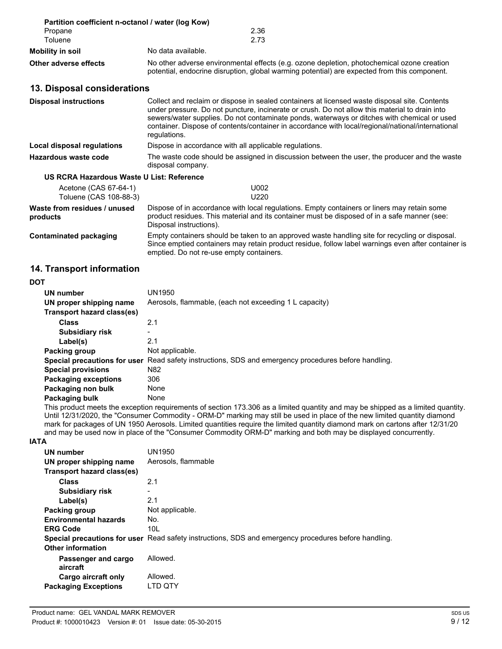| Partition coefficient n-octanol / water (log Kow)<br>Propane<br>Toluene | 2.36<br>2.73                                                                                                                                                                                                                                                                                                                                                                                                        |  |
|-------------------------------------------------------------------------|---------------------------------------------------------------------------------------------------------------------------------------------------------------------------------------------------------------------------------------------------------------------------------------------------------------------------------------------------------------------------------------------------------------------|--|
| <b>Mobility in soil</b>                                                 | No data available.                                                                                                                                                                                                                                                                                                                                                                                                  |  |
| <b>Other adverse effects</b>                                            | No other adverse environmental effects (e.g. ozone depletion, photochemical ozone creation<br>potential, endocrine disruption, global warming potential) are expected from this component.                                                                                                                                                                                                                          |  |
| 13. Disposal considerations                                             |                                                                                                                                                                                                                                                                                                                                                                                                                     |  |
| <b>Disposal instructions</b>                                            | Collect and reclaim or dispose in sealed containers at licensed waste disposal site. Contents<br>under pressure. Do not puncture, incinerate or crush. Do not allow this material to drain into<br>sewers/water supplies. Do not contaminate ponds, waterways or ditches with chemical or used<br>container. Dispose of contents/container in accordance with local/regional/national/international<br>regulations. |  |
| Local disposal regulations                                              | Dispose in accordance with all applicable regulations.                                                                                                                                                                                                                                                                                                                                                              |  |
| Hazardous waste code                                                    | The waste code should be assigned in discussion between the user, the producer and the waste<br>disposal company.                                                                                                                                                                                                                                                                                                   |  |
| US RCRA Hazardous Waste U List: Reference                               |                                                                                                                                                                                                                                                                                                                                                                                                                     |  |
| Acetone (CAS 67-64-1)<br>Toluene (CAS 108-88-3)                         | U002<br>U <sub>220</sub>                                                                                                                                                                                                                                                                                                                                                                                            |  |
| Waste from residues / unused<br>products                                | Dispose of in accordance with local regulations. Empty containers or liners may retain some<br>product residues. This material and its container must be disposed of in a safe manner (see:<br>Disposal instructions).                                                                                                                                                                                              |  |
| <b>Contaminated packaging</b>                                           | Empty containers should be taken to an approved waste handling site for recycling or disposal.                                                                                                                                                                                                                                                                                                                      |  |

Since emptied containers may retain product residue, follow label warnings even after container is

### **14. Transport information**

### **DOT**

| UN number<br>UN proper shipping name<br>Transport hazard class(es) | UN1950<br>Aerosols, flammable, (each not exceeding 1 L capacity)        |
|--------------------------------------------------------------------|-------------------------------------------------------------------------|
| <b>Class</b>                                                       | 2.1                                                                     |
| <b>Subsidiary risk</b>                                             |                                                                         |
| Label(s)                                                           | 2.1                                                                     |
| Packing group                                                      | Not applicable.                                                         |
| Special precautions for user                                       | Read safety instructions, SDS and emergency procedures before handling. |
| <b>Special provisions</b>                                          | N <sub>82</sub>                                                         |
| <b>Packaging exceptions</b>                                        | 306                                                                     |
| Packaging non bulk                                                 | None                                                                    |
| Packaging bulk                                                     | None                                                                    |

emptied. Do not re-use empty containers.

This product meets the exception requirements of section 173.306 as a limited quantity and may be shipped as a limited quantity. Until 12/31/2020, the "Consumer Commodity - ORM-D" marking may still be used in place of the new limited quantity diamond mark for packages of UN 1950 Aerosols. Limited quantities require the limited quantity diamond mark on cartons after 12/31/20 and may be used now in place of the "Consumer Commodity ORM-D" marking and both may be displayed concurrently.

### **IATA**

| UN number                    | UN1950                                                                                               |
|------------------------------|------------------------------------------------------------------------------------------------------|
| UN proper shipping name      | Aerosols, flammable                                                                                  |
| Transport hazard class(es)   |                                                                                                      |
| Class                        | 2.1                                                                                                  |
| <b>Subsidiary risk</b>       |                                                                                                      |
| Label(s)                     | 2.1                                                                                                  |
| Packing group                | Not applicable.                                                                                      |
| <b>Environmental hazards</b> | No.                                                                                                  |
| <b>ERG Code</b>              | 10L                                                                                                  |
|                              | Special precautions for user Read safety instructions, SDS and emergency procedures before handling. |
| <b>Other information</b>     |                                                                                                      |
| Passenger and cargo          | Allowed.                                                                                             |
| aircraft                     |                                                                                                      |
| Cargo aircraft only          | Allowed.                                                                                             |
| <b>Packaging Exceptions</b>  | LTD QTY                                                                                              |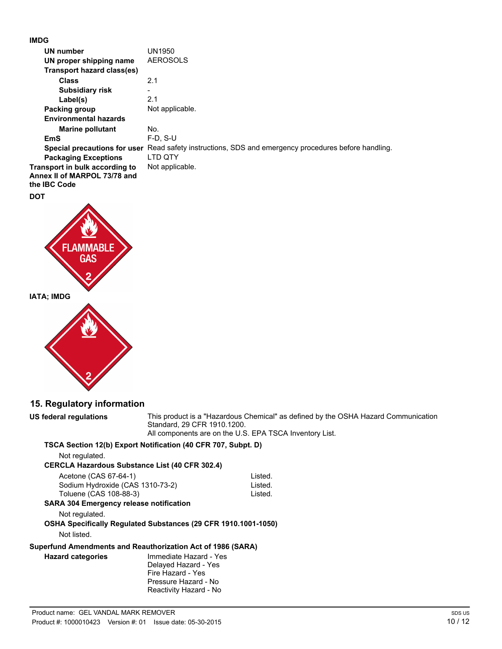### **IMDG**

| <b>UN number</b>                  | <b>UN1950</b>                                                                                        |
|-----------------------------------|------------------------------------------------------------------------------------------------------|
| UN proper shipping name           | <b>AEROSOLS</b>                                                                                      |
| <b>Transport hazard class(es)</b> |                                                                                                      |
| <b>Class</b>                      | 2.1                                                                                                  |
| <b>Subsidiary risk</b>            |                                                                                                      |
| Label(s)                          | 2.1                                                                                                  |
| Packing group                     | Not applicable.                                                                                      |
| <b>Environmental hazards</b>      |                                                                                                      |
| <b>Marine pollutant</b>           | No.                                                                                                  |
| <b>EmS</b>                        | $F-D, S-U$                                                                                           |
|                                   | Special precautions for user Read safety instructions, SDS and emergency procedures before handling. |
| <b>Packaging Exceptions</b>       | LTD QTY                                                                                              |
| Transport in bulk according to    | Not applicable.                                                                                      |
| Annex II of MARPOL 73/78 and      |                                                                                                      |
| the IBC Code                      |                                                                                                      |
| DOT                               |                                                                                                      |
|                                   |                                                                                                      |
|                                   |                                                                                                      |
|                                   |                                                                                                      |
| <b>FLAMMABLE</b>                  |                                                                                                      |
| <b>GAS</b>                        |                                                                                                      |
|                                   |                                                                                                      |
|                                   |                                                                                                      |

# **15. Regulatory information**

**IATA; IMDG**

**US federal regulations** This product is a "Hazardous Chemical" as defined by the OSHA Hazard Communication Standard, 29 CFR 1910.1200. All components are on the U.S. EPA TSCA Inventory List.

### **TSCA Section 12(b) Export Notification (40 CFR 707, Subpt. D)**

Not regulated.

### **CERCLA Hazardous Substance List (40 CFR 302.4)**

| Acetone (CAS 67-64-1)                            | Listed. |
|--------------------------------------------------|---------|
| Sodium Hydroxide (CAS 1310-73-2)                 | Listed. |
| Toluene (CAS 108-88-3)                           | Listed. |
| <b>BA 004 Forester construction of the state</b> |         |

## **SARA 304 Emergency release notification**

Not regulated.

**OSHA Specifically Regulated Substances (29 CFR 1910.1001-1050)** Not listed.

### **Superfund Amendments and Reauthorization Act of 1986 (SARA)**

**Hazard categories** Immediate Hazard - Yes Delayed Hazard - Yes Fire Hazard - Yes Pressure Hazard - No Reactivity Hazard - No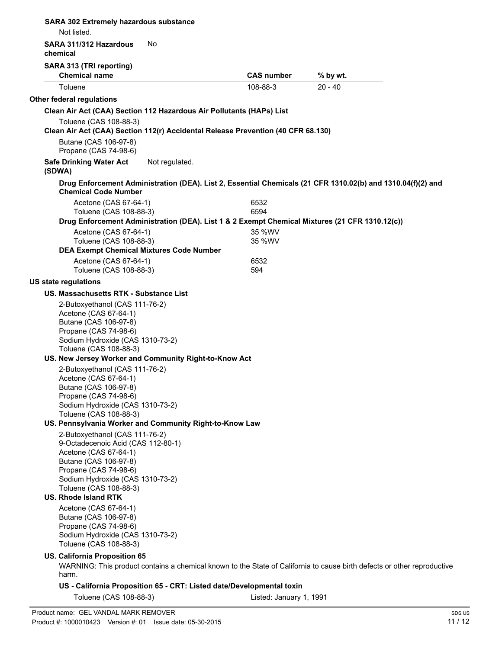| <b>SARA 302 Extremely hazardous substance</b><br>Not listed.                                                                                                                                                                       |                |                                                                                                  |                                                                                                                         |                 |
|------------------------------------------------------------------------------------------------------------------------------------------------------------------------------------------------------------------------------------|----------------|--------------------------------------------------------------------------------------------------|-------------------------------------------------------------------------------------------------------------------------|-----------------|
| SARA 311/312 Hazardous<br>chemical                                                                                                                                                                                                 | No             |                                                                                                  |                                                                                                                         |                 |
| SARA 313 (TRI reporting)                                                                                                                                                                                                           |                |                                                                                                  |                                                                                                                         |                 |
| <b>Chemical name</b>                                                                                                                                                                                                               |                | <b>CAS number</b>                                                                                | % by wt.                                                                                                                |                 |
| Toluene                                                                                                                                                                                                                            |                | 108-88-3                                                                                         | $20 - 40$                                                                                                               |                 |
| Other federal regulations                                                                                                                                                                                                          |                |                                                                                                  |                                                                                                                         |                 |
| Clean Air Act (CAA) Section 112 Hazardous Air Pollutants (HAPs) List                                                                                                                                                               |                |                                                                                                  |                                                                                                                         |                 |
| Toluene (CAS 108-88-3)                                                                                                                                                                                                             |                | Clean Air Act (CAA) Section 112(r) Accidental Release Prevention (40 CFR 68.130)                 |                                                                                                                         |                 |
| Butane (CAS 106-97-8)<br>Propane (CAS 74-98-6)                                                                                                                                                                                     |                |                                                                                                  |                                                                                                                         |                 |
| <b>Safe Drinking Water Act</b><br>(SDWA)                                                                                                                                                                                           | Not regulated. |                                                                                                  |                                                                                                                         |                 |
| <b>Chemical Code Number</b>                                                                                                                                                                                                        |                |                                                                                                  | Drug Enforcement Administration (DEA). List 2, Essential Chemicals (21 CFR 1310.02(b) and 1310.04(f)(2) and             |                 |
| Acetone (CAS 67-64-1)<br>Toluene (CAS 108-88-3)                                                                                                                                                                                    |                | 6532<br>6594                                                                                     |                                                                                                                         |                 |
|                                                                                                                                                                                                                                    |                |                                                                                                  | Drug Enforcement Administration (DEA). List 1 & 2 Exempt Chemical Mixtures (21 CFR 1310.12(c))                          |                 |
| Acetone (CAS 67-64-1)                                                                                                                                                                                                              |                | 35 %WV                                                                                           |                                                                                                                         |                 |
| Toluene (CAS 108-88-3)<br><b>DEA Exempt Chemical Mixtures Code Number</b>                                                                                                                                                          |                | 35 %WV                                                                                           |                                                                                                                         |                 |
| Acetone (CAS 67-64-1)<br>Toluene (CAS 108-88-3)                                                                                                                                                                                    |                | 6532<br>594                                                                                      |                                                                                                                         |                 |
| <b>US state regulations</b>                                                                                                                                                                                                        |                |                                                                                                  |                                                                                                                         |                 |
| US. Massachusetts RTK - Substance List                                                                                                                                                                                             |                |                                                                                                  |                                                                                                                         |                 |
| 2-Butoxyethanol (CAS 111-76-2)<br>Acetone (CAS 67-64-1)<br>Butane (CAS 106-97-8)<br>Propane (CAS 74-98-6)<br>Sodium Hydroxide (CAS 1310-73-2)                                                                                      |                |                                                                                                  |                                                                                                                         |                 |
| Toluene (CAS 108-88-3)<br>US. New Jersey Worker and Community Right-to-Know Act                                                                                                                                                    |                |                                                                                                  |                                                                                                                         |                 |
| 2-Butoxyethanol (CAS 111-76-2)<br>Acetone (CAS 67-64-1)<br>Butane (CAS 106-97-8)<br>Propane (CAS 74-98-6)<br>Sodium Hydroxide (CAS 1310-73-2)<br>Toluene (CAS 108-88-3)<br>US. Pennsylvania Worker and Community Right-to-Know Law |                |                                                                                                  |                                                                                                                         |                 |
| 2-Butoxyethanol (CAS 111-76-2)<br>9-Octadecenoic Acid (CAS 112-80-1)                                                                                                                                                               |                |                                                                                                  |                                                                                                                         |                 |
| Acetone (CAS 67-64-1)<br>Butane (CAS 106-97-8)<br>Propane (CAS 74-98-6)<br>Sodium Hydroxide (CAS 1310-73-2)<br>Toluene (CAS 108-88-3)                                                                                              |                |                                                                                                  |                                                                                                                         |                 |
| US. Rhode Island RTK                                                                                                                                                                                                               |                |                                                                                                  |                                                                                                                         |                 |
| Acetone (CAS 67-64-1)<br>Butane (CAS 106-97-8)<br>Propane (CAS 74-98-6)<br>Sodium Hydroxide (CAS 1310-73-2)<br>Toluene (CAS 108-88-3)                                                                                              |                |                                                                                                  |                                                                                                                         |                 |
| <b>US. California Proposition 65</b>                                                                                                                                                                                               |                |                                                                                                  | WARNING: This product contains a chemical known to the State of California to cause birth defects or other reproductive |                 |
| harm.                                                                                                                                                                                                                              |                |                                                                                                  |                                                                                                                         |                 |
| Toluene (CAS 108-88-3)                                                                                                                                                                                                             |                | US - California Proposition 65 - CRT: Listed date/Developmental toxin<br>Listed: January 1, 1991 |                                                                                                                         |                 |
|                                                                                                                                                                                                                                    |                |                                                                                                  |                                                                                                                         |                 |
| Product name: GEL VANDAL MARK REMOVER<br>Product #: 1000010423    Version #: 01    Issue date: 05-30-2015                                                                                                                          |                |                                                                                                  |                                                                                                                         | SDS US<br>11/12 |